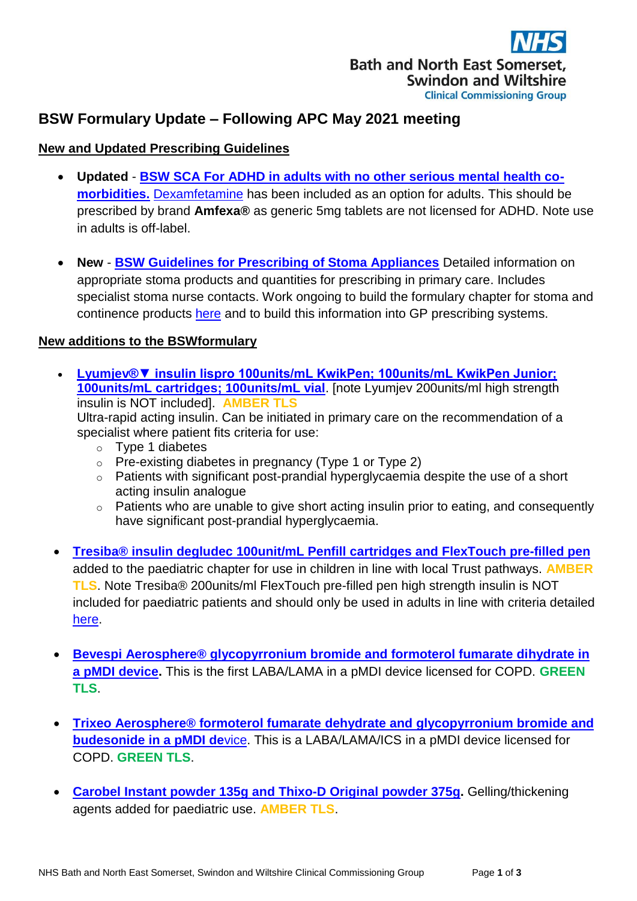

# **BSW Formulary Update – Following APC May 2021 meeting**

## **New and Updated Prescribing Guidelines**

- **Updated [BSW SCA For ADHD in adults with no other serious mental health co](https://prescribing.wiltshireccg.nhs.uk/?wpdmdl=6736&UNLID=5804589612021618144121)[morbidities.](https://prescribing.wiltshireccg.nhs.uk/?wpdmdl=6736&UNLID=5804589612021618144121)** [Dexamfetamine](http://bswformulary.nhs.uk/chaptersSubDetails.asp?FormularySectionID=4&SubSectionRef=04.04&SubSectionID=A100&drugmatch=1134#1134) has been included as an option for adults. This should be prescribed by brand **Amfexa®** as generic 5mg tablets are not licensed for ADHD. Note use in adults is off-label.
- **New [BSW Guidelines for Prescribing of Stoma Appliances](https://prescribing.bswccg.nhs.uk/?wpdmdl=8549&ind=1622186712356)** Detailed information on appropriate stoma products and quantities for prescribing in primary care. Includes specialist stoma nurse contacts. Work ongoing to build the formulary chapter for stoma and continence products [here](http://bswformulary.nhs.uk/chaptersSubDetails.asp?FormularySectionID=17&SubSectionRef=17&SubSectionID=A100&FC=1) and to build this information into GP prescribing systems.

#### **New additions to the BSWformulary**

- **[Lyumjev®▼ insulin lispro 100units/mL KwikPen; 100units/mL KwikPen Junior;](http://bswformulary.nhs.uk/chaptersSubDetails.asp?FormularySectionID=6&SubSectionRef=06.01.01.01&SubSectionID=A100&drugmatch=5718#5718)  [100units/mL cartridges; 100units/mL vial](http://bswformulary.nhs.uk/chaptersSubDetails.asp?FormularySectionID=6&SubSectionRef=06.01.01.01&SubSectionID=A100&drugmatch=5718#5718)**. [note Lyumjev 200units/ml high strength insulin is NOT included]. **AMBER TLS** Ultra-rapid acting insulin. Can be initiated in primary care on the recommendation of a specialist where patient fits criteria for use:
	- o Type 1 diabetes
	- o Pre-existing diabetes in pregnancy (Type 1 or Type 2)
	- o Patients with significant post-prandial hyperglycaemia despite the use of a short acting insulin analogue
	- o Patients who are unable to give short acting insulin prior to eating, and consequently have significant post-prandial hyperglycaemia.
- **[Tresiba® insulin degludec 100unit/mL Penfill cartridges and FlexTouch pre-filled pen](http://bswformulary.nhs.uk/chaptersSubDetails.asp?FormularySectionID=16&SubSectionRef=16.06&SubSectionID=A100&drugmatch=5713#5713)** added to the paediatric chapter for use in children in line with local Trust pathways. **AMBER TLS**. Note Tresiba® 200units/ml FlexTouch pre-filled pen high strength insulin is NOT included for paediatric patients and should only be used in adults in line with criteria detailed [here.](http://bswformulary.nhs.uk/chaptersSubDetails.asp?FormularySectionID=6&SubSectionRef=06.01.01.02&SubSectionID=A100&drugmatch=5153#5153)
- **[Bevespi Aerosphere® glycopyrronium bromide and formoterol fumarate dihydrate in](http://bswformulary.nhs.uk/chaptersSubDetails.asp?FormularySectionID=3&SubSectionRef=03.01.04&SubSectionID=A100&drugmatch=5716#5716)  [a pMDI device.](http://bswformulary.nhs.uk/chaptersSubDetails.asp?FormularySectionID=3&SubSectionRef=03.01.04&SubSectionID=A100&drugmatch=5716#5716)** This is the first LABA/LAMA in a pMDI device licensed for COPD. **GREEN TLS**.
- **[Trixeo Aerosphere® formoterol fumarate](http://bswformulary.nhs.uk/chaptersSubDetails.asp?FormularySectionID=3&SubSectionRef=03.02.03&SubSectionID=B100&drugmatch=5714#5714) dehydrate and glycopyrronium bromide and [budesonide in a pMDI de](http://bswformulary.nhs.uk/chaptersSubDetails.asp?FormularySectionID=3&SubSectionRef=03.02.03&SubSectionID=B100&drugmatch=5714#5714)**vice. This is a LABA/LAMA/ICS in a pMDI device licensed for COPD. **GREEN TLS**.
- **[Carobel Instant powder 135g and Thixo-D](http://bswformulary.nhs.uk/chaptersSubDetails.asp?FormularySectionID=16&SubSectionRef=16.09.01&SubSectionID=A100&drugmatch=5683#5683) Original powder 375g.** Gelling/thickening agents added for paediatric use. **AMBER TLS**.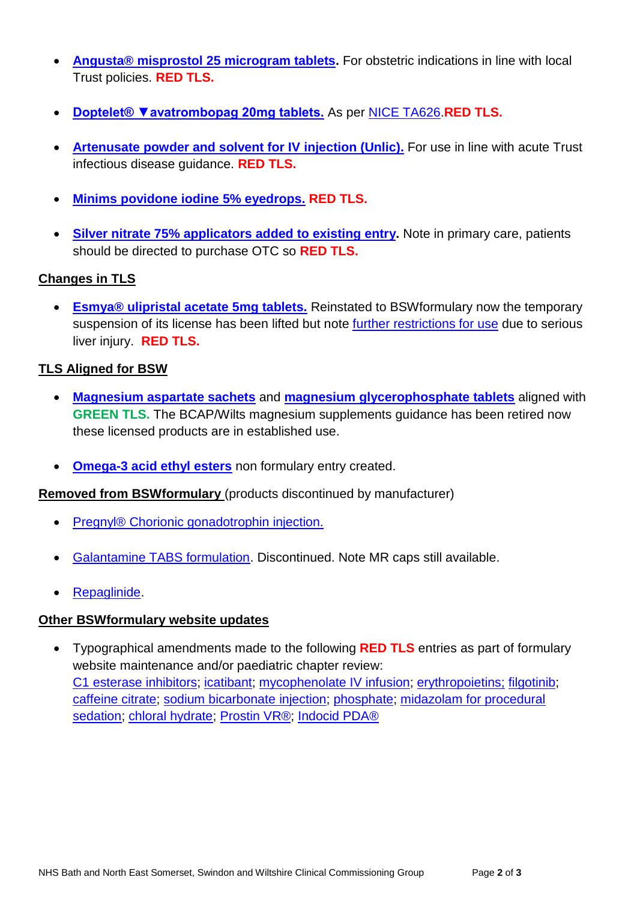- **[Angusta® misprostol 25 microgram tablets.](http://bswformulary.nhs.uk/chaptersSubDetails.asp?FormularySectionID=7&SubSectionRef=07.01.01&SubSectionID=A100&drugmatch=3613#3613)** For obstetric indications in line with local Trust policies. **RED TLS.**
- **[Doptelet® ▼avatrombopag 20mg tablets.](http://bswformulary.nhs.uk/chaptersSubDetails.asp?FormularySectionID=9&SubSectionRef=09.01.04&SubSectionID=A100&drugmatch=5678#5678)** As per [NICE TA626.](https://www.nice.org.uk/guidance/ta626?UNLID=9703227022021621134513)**RED TLS.**
- **[Artenusate powder and solvent for IV injection](http://bswformulary.nhs.uk/chaptersSubDetails.asp?FormularySectionID=5&SubSectionRef=05.04.01&SubSectionID=B100&drugmatch=5694#5694) (Unlic).** For use in line with acute Trust infectious disease guidance. **RED TLS.**
- **[Minims povidone](http://bswformulary.nhs.uk/chaptersSubDetails.asp?FormularySectionID=11&SubSectionRef=11.03.01&SubSectionID=A100&drugmatch=4682#4682) iodine 5% eyedrops. RED TLS.**
- **[Silver nitrate 75% applicators added to existing entry.](http://bswformulary.nhs.uk/chaptersSubDetails.asp?FormularySectionID=13&SubSectionRef=13.07&SubSectionID=A100&drugmatch=1322#1322)** Note in primary care, patients should be directed to purchase OTC so **RED TLS.**

## **Changes in TLS**

 **[Esmya® ulipristal acetate 5mg tablets.](http://bswformulary.nhs.uk/chaptersSubDetails.asp?FormularySectionID=6&SubSectionRef=06.04.01.02&SubSectionID=A100&drugmatch=5188#5188)** Reinstated to BSWformulary now the temporary suspension of its license has been lifted but note [further restrictions for use](https://assets.publishing.service.gov.uk/government/uploads/system/uploads/attachment_data/file/962557/Feb-2021-DSU-PDF_final.pdf?UNLID=5804589612021618143322) due to serious liver injury. **RED TLS.**

## **TLS Aligned for BSW**

- **[Magnesium aspartate sachets](http://bswformulary.nhs.uk/chaptersSubDetails.asp?FormularySectionID=9&SubSectionRef=09.05.01.03&SubSectionID=A100&drugmatch=3804#3804)** and **[magnesium glycerophosphate tablets](http://bswformulary.nhs.uk/chaptersSubDetails.asp?FormularySectionID=9&SubSectionRef=09.05.01.03&SubSectionID=A100&drugmatch=366#366)** aligned with **GREEN TLS.** The BCAP/Wilts magnesium supplements guidance has been retired now these licensed products are in established use.
- **[Omega-3 acid ethyl esters](http://bswformulary.nhs.uk/chaptersSubDetails.asp?FormularySectionID=2&SubSectionRef=02.12&SubSectionID=A100&drugmatch=5090#5090)** non formulary entry created.

**Removed from BSWformulary** (products discontinued by manufacturer)

- Pregnyl® [Chorionic gonadotrophin injection.](http://bswformulary.nhs.uk/chaptersSubDetails.asp?FormularySectionID=6&SubSectionRef=06.05.01&SubSectionID=C100&drugmatch=550#550)
- [Galantamine TABS formulation.](http://bswformulary.nhs.uk/chaptersSubDetails.asp?FormularySectionID=4&SubSectionRef=04.11&SubSectionID=A100&drugmatch=1710#1710) Discontinued. Note MR caps still available.
- [Repaglinide.](http://bswformulary.nhs.uk/chaptersSubDetails.asp?FormularySectionID=6&SubSectionRef=06.01.02.03&SubSectionID=E100&drugmatch=401#401)

#### **Other BSWformulary website updates**

 Typographical amendments made to the following **RED TLS** entries as part of formulary website maintenance and/or paediatric chapter review: [C1 esterase inhibitors; icatibant;](http://bswformulary.nhs.uk/chaptersSubDetails.asp?FormularySectionID=3&SubSectionRef=03.04.03&SubSectionID=C100&drugmatch=4373#4373) [mycophenolate IV infusion;](http://bswformulary.nhs.uk/chaptersSubDetails.asp?FormularySectionID=8&SubSectionRef=08.02.01&SubSectionID=A100&drugmatch=2168#2168) [erythropoietins;](http://bswformulary.nhs.uk/chaptersSubDetails.asp?FormularySectionID=9&SubSectionRef=09.01.03&SubSectionID=B100&drugmatch=5423#5423) [filgotinib;](http://bswformulary.nhs.uk/chaptersSubDetails.asp?FormularySectionID=10&SubSectionRef=10.01.03&SubSectionID=A100&drugmatch=5710#5710) [caffeine citrate;](http://bswformulary.nhs.uk/chaptersSubDetails.asp?FormularySectionID=16&SubSectionRef=16.03&SubSectionID=A100&drugmatch=5685#5685) [sodium bicarbonate](http://bswformulary.nhs.uk/chaptersSubDetails.asp?FormularySectionID=16&SubSectionRef=16.09&SubSectionID=A100&drugmatch=5481#5481) injection; [phosphate;](http://bswformulary.nhs.uk/chaptersSubDetails.asp?FormularySectionID=16&SubSectionRef=16.09&SubSectionID=A100&drugmatch=5481#5481) [midazolam for procedural](http://bswformulary.nhs.uk/chaptersSubDetails.asp?FormularySectionID=16&SubSectionRef=16.04&SubSectionID=A100&drugmatch=4906#4906)  [sedation; chloral hydrate;](http://bswformulary.nhs.uk/chaptersSubDetails.asp?FormularySectionID=16&SubSectionRef=16.04&SubSectionID=A100&drugmatch=4906#4906) [Prostin VR®; Indocid PDA®](http://bswformulary.nhs.uk/chaptersSubDetails.asp?FormularySectionID=16&SubSectionRef=16.02&SubSectionID=A100&drugmatch=595#595)